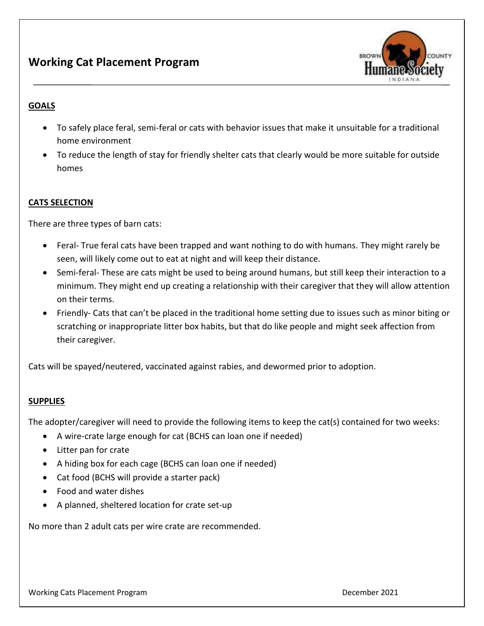

# **GOALS**

- To safely place feral, semi-feral or cats with behavior issues that make it unsuitable for a traditional home environment
- To reduce the length of stay for friendly shelter cats that clearly would be more suitable for outside homes

## **CATS SELECTION**

There are three types of barn cats:

- Feral- True feral cats have been trapped and want nothing to do with humans. They might rarely be seen, will likely come out to eat at night and will keep their distance.
- Semi-feral- These are cats might be used to being around humans, but still keep their interaction to a minimum. They might end up creating a relationship with their caregiver that they will allow attention on their terms.
- Friendly- Cats that can't be placed in the traditional home setting due to issues such as minor biting or scratching or inappropriate litter box habits, but that do like people and might seek affection from their caregiver.

Cats will be spayed/neutered, vaccinated against rabies, and dewormed prior to adoption.

## **SUPPLIES**

The adopter/caregiver will need to provide the following items to keep the cat(s) contained for two weeks:

- A wire-crate large enough for cat (BCHS can loan one if needed)
- Litter pan for crate
- A hiding box for each cage (BCHS can loan one if needed)
- Cat food (BCHS will provide a starter pack)
- Food and water dishes
- A planned, sheltered location for crate set-up

No more than 2 adult cats per wire crate are recommended.